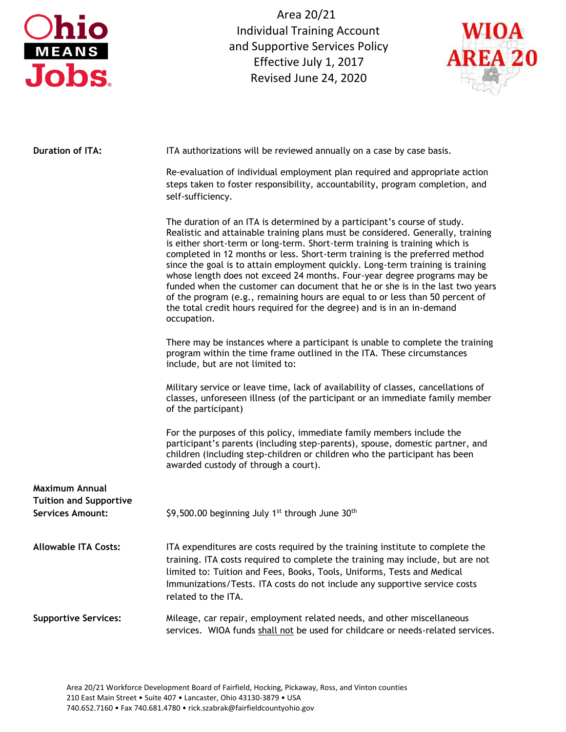| hio<br>MEANS<br><b>Jobs</b>                              | Area 20/21<br><b>Individual Training Account</b><br>and Supportive Services Policy<br>Effective July 1, 2017<br>Revised June 24, 2020                                                                                                                                                                                                                                                                                                                                                                                                                                                                                                                                                                                                              | <b>AREA 20</b> |  |  |
|----------------------------------------------------------|----------------------------------------------------------------------------------------------------------------------------------------------------------------------------------------------------------------------------------------------------------------------------------------------------------------------------------------------------------------------------------------------------------------------------------------------------------------------------------------------------------------------------------------------------------------------------------------------------------------------------------------------------------------------------------------------------------------------------------------------------|----------------|--|--|
| <b>Duration of ITA:</b>                                  | ITA authorizations will be reviewed annually on a case by case basis.                                                                                                                                                                                                                                                                                                                                                                                                                                                                                                                                                                                                                                                                              |                |  |  |
|                                                          | Re-evaluation of individual employment plan required and appropriate action<br>steps taken to foster responsibility, accountability, program completion, and<br>self-sufficiency.                                                                                                                                                                                                                                                                                                                                                                                                                                                                                                                                                                  |                |  |  |
|                                                          | The duration of an ITA is determined by a participant's course of study.<br>Realistic and attainable training plans must be considered. Generally, training<br>is either short-term or long-term. Short-term training is training which is<br>completed in 12 months or less. Short-term training is the preferred method<br>since the goal is to attain employment quickly. Long-term training is training<br>whose length does not exceed 24 months. Four-year degree programs may be<br>funded when the customer can document that he or she is in the last two years<br>of the program (e.g., remaining hours are equal to or less than 50 percent of<br>the total credit hours required for the degree) and is in an in-demand<br>occupation. |                |  |  |
|                                                          | There may be instances where a participant is unable to complete the training<br>program within the time frame outlined in the ITA. These circumstances<br>include, but are not limited to:                                                                                                                                                                                                                                                                                                                                                                                                                                                                                                                                                        |                |  |  |
|                                                          | Military service or leave time, lack of availability of classes, cancellations of<br>classes, unforeseen illness (of the participant or an immediate family member<br>of the participant)                                                                                                                                                                                                                                                                                                                                                                                                                                                                                                                                                          |                |  |  |
|                                                          | For the purposes of this policy, immediate family members include the<br>participant's parents (including step-parents), spouse, domestic partner, and<br>children (including step-children or children who the participant has been<br>awarded custody of through a court).                                                                                                                                                                                                                                                                                                                                                                                                                                                                       |                |  |  |
| Maximum Annual                                           |                                                                                                                                                                                                                                                                                                                                                                                                                                                                                                                                                                                                                                                                                                                                                    |                |  |  |
| <b>Tuition and Supportive</b><br><b>Services Amount:</b> | \$9,500.00 beginning July 1 <sup>st</sup> through June 30 <sup>th</sup>                                                                                                                                                                                                                                                                                                                                                                                                                                                                                                                                                                                                                                                                            |                |  |  |
| <b>Allowable ITA Costs:</b>                              | ITA expenditures are costs required by the training institute to complete the<br>training. ITA costs required to complete the training may include, but are not<br>limited to: Tuition and Fees, Books, Tools, Uniforms, Tests and Medical<br>Immunizations/Tests. ITA costs do not include any supportive service costs<br>related to the ITA.                                                                                                                                                                                                                                                                                                                                                                                                    |                |  |  |
| <b>Supportive Services:</b>                              | Mileage, car repair, employment related needs, and other miscellaneous<br>services. WIOA funds shall not be used for childcare or needs-related services.                                                                                                                                                                                                                                                                                                                                                                                                                                                                                                                                                                                          |                |  |  |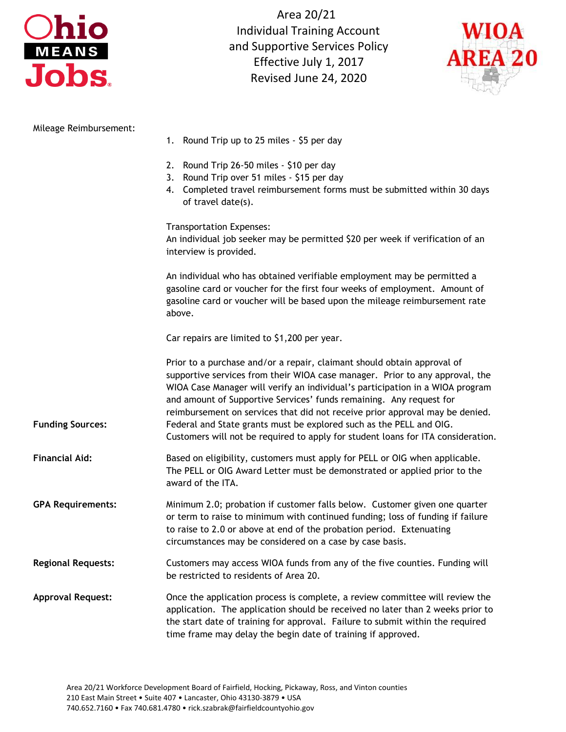

Area 20/21 Individual Training Account and Supportive Services Policy Effective July 1, 2017 Revised June 24, 2020



| Mileage Reimbursement:    |                                                                                                                                                                                                                                                                                                                                                                                                                                                                                                                                                            |  |  |
|---------------------------|------------------------------------------------------------------------------------------------------------------------------------------------------------------------------------------------------------------------------------------------------------------------------------------------------------------------------------------------------------------------------------------------------------------------------------------------------------------------------------------------------------------------------------------------------------|--|--|
|                           | 1. Round Trip up to 25 miles - \$5 per day                                                                                                                                                                                                                                                                                                                                                                                                                                                                                                                 |  |  |
|                           | 2. Round Trip 26-50 miles - \$10 per day<br>Round Trip over 51 miles - \$15 per day<br>3.<br>4. Completed travel reimbursement forms must be submitted within 30 days<br>of travel date(s).                                                                                                                                                                                                                                                                                                                                                                |  |  |
|                           | Transportation Expenses:<br>An individual job seeker may be permitted \$20 per week if verification of an<br>interview is provided.                                                                                                                                                                                                                                                                                                                                                                                                                        |  |  |
|                           | An individual who has obtained verifiable employment may be permitted a<br>gasoline card or voucher for the first four weeks of employment. Amount of<br>gasoline card or voucher will be based upon the mileage reimbursement rate<br>above.                                                                                                                                                                                                                                                                                                              |  |  |
|                           | Car repairs are limited to \$1,200 per year.                                                                                                                                                                                                                                                                                                                                                                                                                                                                                                               |  |  |
| <b>Funding Sources:</b>   | Prior to a purchase and/or a repair, claimant should obtain approval of<br>supportive services from their WIOA case manager. Prior to any approval, the<br>WIOA Case Manager will verify an individual's participation in a WIOA program<br>and amount of Supportive Services' funds remaining. Any request for<br>reimbursement on services that did not receive prior approval may be denied.<br>Federal and State grants must be explored such as the PELL and OIG.<br>Customers will not be required to apply for student loans for ITA consideration. |  |  |
| <b>Financial Aid:</b>     | Based on eligibility, customers must apply for PELL or OIG when applicable.<br>The PELL or OIG Award Letter must be demonstrated or applied prior to the<br>award of the ITA.                                                                                                                                                                                                                                                                                                                                                                              |  |  |
| <b>GPA Requirements:</b>  | Minimum 2.0; probation if customer falls below. Customer given one quarter<br>or term to raise to minimum with continued funding; loss of funding if failure<br>to raise to 2.0 or above at end of the probation period. Extenuating<br>circumstances may be considered on a case by case basis.                                                                                                                                                                                                                                                           |  |  |
| <b>Regional Requests:</b> | Customers may access WIOA funds from any of the five counties. Funding will<br>be restricted to residents of Area 20.                                                                                                                                                                                                                                                                                                                                                                                                                                      |  |  |
| <b>Approval Request:</b>  | Once the application process is complete, a review committee will review the<br>application. The application should be received no later than 2 weeks prior to<br>the start date of training for approval. Failure to submit within the required<br>time frame may delay the begin date of training if approved.                                                                                                                                                                                                                                           |  |  |